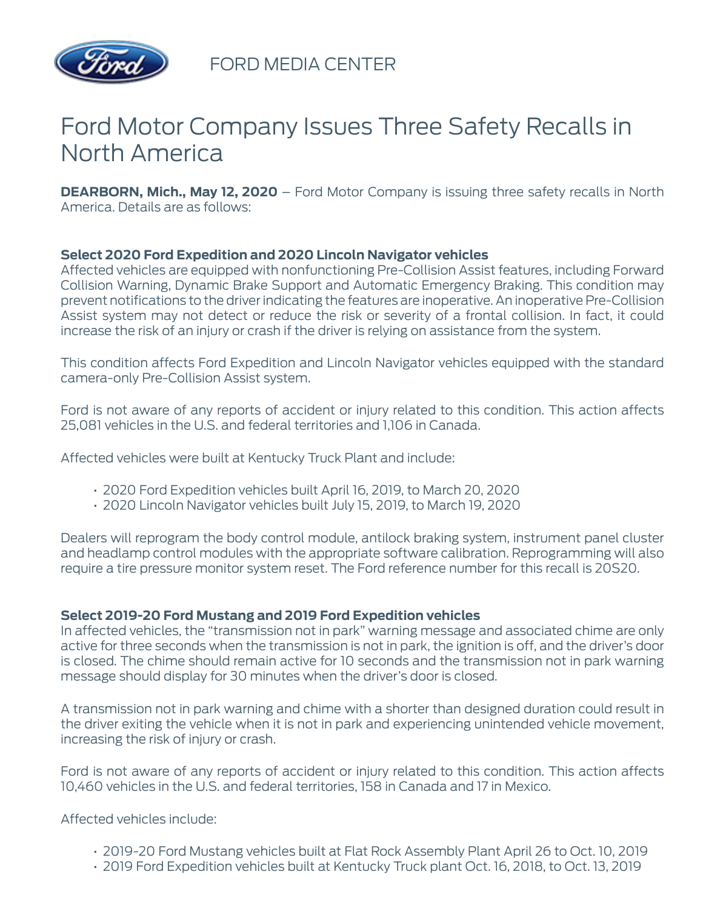

FORD MEDIA CENTER

# Ford Motor Company Issues Three Safety Recalls in North America

**DEARBORN, Mich., May 12, 2020** – Ford Motor Company is issuing three safety recalls in North America. Details are as follows:

## **Select 2020 Ford Expedition and 2020 Lincoln Navigator vehicles**

Affected vehicles are equipped with nonfunctioning Pre-Collision Assist features, including Forward Collision Warning, Dynamic Brake Support and Automatic Emergency Braking. This condition may prevent notifications to the driver indicating the features are inoperative. An inoperative Pre-Collision Assist system may not detect or reduce the risk or severity of a frontal collision. In fact, it could increase the risk of an injury or crash if the driver is relying on assistance from the system.

This condition affects Ford Expedition and Lincoln Navigator vehicles equipped with the standard camera-only Pre-Collision Assist system.

Ford is not aware of any reports of accident or injury related to this condition. This action affects 25,081 vehicles in the U.S. and federal territories and 1,106 in Canada.

Affected vehicles were built at Kentucky Truck Plant and include:

- 2020 Ford Expedition vehicles built April 16, 2019, to March 20, 2020
- 2020 Lincoln Navigator vehicles built July 15, 2019, to March 19, 2020

Dealers will reprogram the body control module, antilock braking system, instrument panel cluster and headlamp control modules with the appropriate software calibration. Reprogramming will also require a tire pressure monitor system reset. The Ford reference number for this recall is 20S20.

## **Select 2019-20 Ford Mustang and 2019 Ford Expedition vehicles**

In affected vehicles, the "transmission not in park" warning message and associated chime are only active for three seconds when the transmission is not in park, the ignition is off, and the driver's door is closed. The chime should remain active for 10 seconds and the transmission not in park warning message should display for 30 minutes when the driver's door is closed.

A transmission not in park warning and chime with a shorter than designed duration could result in the driver exiting the vehicle when it is not in park and experiencing unintended vehicle movement, increasing the risk of injury or crash.

Ford is not aware of any reports of accident or injury related to this condition. This action affects 10,460 vehicles in the U.S. and federal territories, 158 in Canada and 17 in Mexico.

Affected vehicles include:

- 2019-20 Ford Mustang vehicles built at Flat Rock Assembly Plant April 26 to Oct. 10, 2019
- 2019 Ford Expedition vehicles built at Kentucky Truck plant Oct. 16, 2018, to Oct. 13, 2019